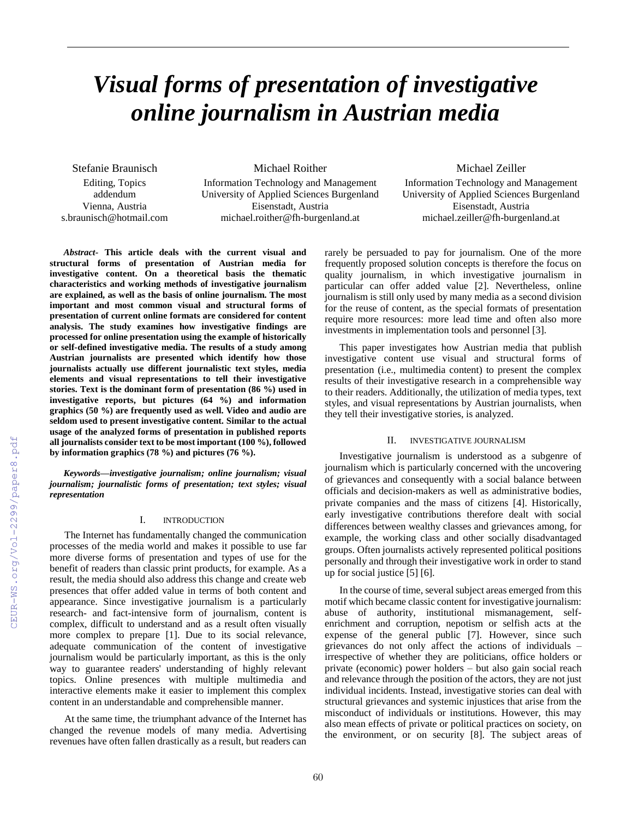# *Visual forms of presentation of investigative online journalism in Austrian media*

Stefanie Braunisch

Editing, Topics addendum Vienna, Austria s.braunisch@hotmail.com Michael Roither

Information Technology and Management University of Applied Sciences Burgenland Eisenstadt, Austria michael.roither@fh-burgenland.at

Michael Zeiller

Information Technology and Management University of Applied Sciences Burgenland Eisenstadt, Austria michael.zeiller@fh-burgenland.at

*Abstract-* **This article deals with the current visual and structural forms of presentation of Austrian media for investigative content. On a theoretical basis the thematic characteristics and working methods of investigative journalism are explained, as well as the basis of online journalism. The most important and most common visual and structural forms of presentation of current online formats are considered for content analysis. The study examines how investigative findings are processed for online presentation using the example of historically or self-defined investigative media. The results of a study among Austrian journalists are presented which identify how those journalists actually use different journalistic text styles, media elements and visual representations to tell their investigative stories. Text is the dominant form of presentation (86 %) used in investigative reports, but pictures (64 %) and information graphics (50 %) are frequently used as well. Video and audio are seldom used to present investigative content. Similar to the actual usage of the analyzed forms of presentation in published reports all journalists consider text to be most important (100 %), followed by information graphics (78 %) and pictures (76 %).**

*Keywords—investigative journalism; online journalism; visual journalism; journalistic forms of presentation; text styles; visual representation*

## I. INTRODUCTION

The Internet has fundamentally changed the communication processes of the media world and makes it possible to use far more diverse forms of presentation and types of use for the benefit of readers than classic print products, for example. As a result, the media should also address this change and create web presences that offer added value in terms of both content and appearance. Since investigative journalism is a particularly research- and fact-intensive form of journalism, content is complex, difficult to understand and as a result often visually more complex to prepare [1]. Due to its social relevance, adequate communication of the content of investigative journalism would be particularly important, as this is the only way to guarantee readers' understanding of highly relevant topics. Online presences with multiple multimedia and interactive elements make it easier to implement this complex content in an understandable and comprehensible manner.

At the same time, the triumphant advance of the Internet has changed the revenue models of many media. Advertising revenues have often fallen drastically as a result, but readers can rarely be persuaded to pay for journalism. One of the more frequently proposed solution concepts is therefore the focus on quality journalism, in which investigative journalism in particular can offer added value [2]. Nevertheless, online journalism is still only used by many media as a second division for the reuse of content, as the special formats of presentation require more resources: more lead time and often also more investments in implementation tools and personnel [3].

This paper investigates how Austrian media that publish investigative content use visual and structural forms of presentation (i.e., multimedia content) to present the complex results of their investigative research in a comprehensible way to their readers. Additionally, the utilization of media types, text styles, and visual representations by Austrian journalists, when they tell their investigative stories, is analyzed.

# II. INVESTIGATIVE JOURNALISM

Investigative journalism is understood as a subgenre of journalism which is particularly concerned with the uncovering of grievances and consequently with a social balance between officials and decision-makers as well as administrative bodies, private companies and the mass of citizens [4]. Historically, early investigative contributions therefore dealt with social differences between wealthy classes and grievances among, for example, the working class and other socially disadvantaged groups. Often journalists actively represented political positions personally and through their investigative work in order to stand up for social justice [5] [6].

In the course of time, several subject areas emerged from this motif which became classic content for investigative journalism: abuse of authority, institutional mismanagement, selfenrichment and corruption, nepotism or selfish acts at the expense of the general public [7]. However, since such grievances do not only affect the actions of individuals – irrespective of whether they are politicians, office holders or private (economic) power holders – but also gain social reach and relevance through the position of the actors, they are not just individual incidents. Instead, investigative stories can deal with structural grievances and systemic injustices that arise from the misconduct of individuals or institutions. However, this may also mean effects of private or political practices on society, on the environment, or on security [8]. The subject areas of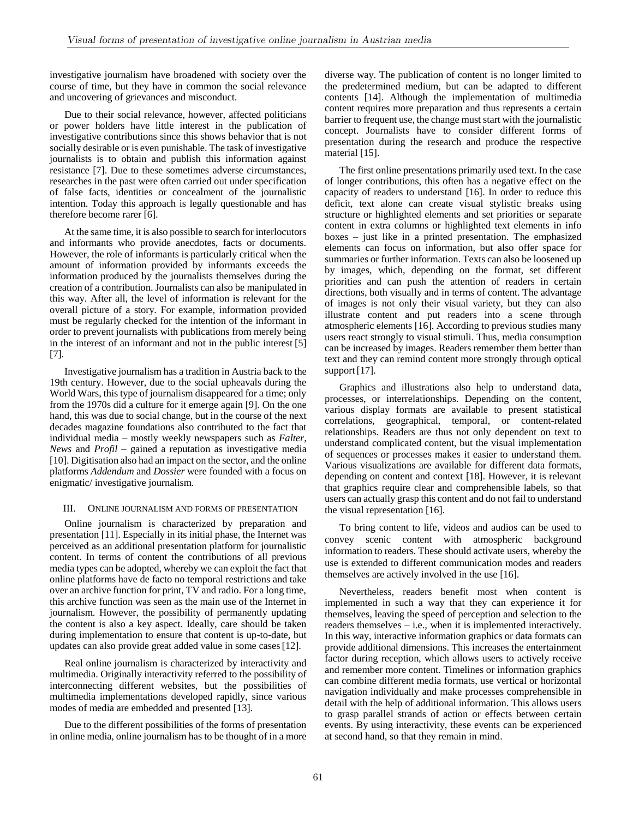investigative journalism have broadened with society over the course of time, but they have in common the social relevance and uncovering of grievances and misconduct.

Due to their social relevance, however, affected politicians or power holders have little interest in the publication of investigative contributions since this shows behavior that is not socially desirable or is even punishable. The task of investigative journalists is to obtain and publish this information against resistance [7]. Due to these sometimes adverse circumstances, researches in the past were often carried out under specification of false facts, identities or concealment of the journalistic intention. Today this approach is legally questionable and has therefore become rarer [6].

At the same time, it is also possible to search for interlocutors and informants who provide anecdotes, facts or documents. However, the role of informants is particularly critical when the amount of information provided by informants exceeds the information produced by the journalists themselves during the creation of a contribution. Journalists can also be manipulated in this way. After all, the level of information is relevant for the overall picture of a story. For example, information provided must be regularly checked for the intention of the informant in order to prevent journalists with publications from merely being in the interest of an informant and not in the public interest [5] [7].

Investigative journalism has a tradition in Austria back to the 19th century. However, due to the social upheavals during the World Wars, this type of journalism disappeared for a time; only from the 1970s did a culture for it emerge again [9]. On the one hand, this was due to social change, but in the course of the next decades magazine foundations also contributed to the fact that individual media – mostly weekly newspapers such as *Falter*, *News* and *Profil* – gained a reputation as investigative media [10]. Digitisation also had an impact on the sector, and the online platforms *Addendum* and *Dossier* were founded with a focus on enigmatic/ investigative journalism.

## III. ONLINE JOURNALISM AND FORMS OF PRESENTATION

Online journalism is characterized by preparation and presentation [11]. Especially in its initial phase, the Internet was perceived as an additional presentation platform for journalistic content. In terms of content the contributions of all previous media types can be adopted, whereby we can exploit the fact that online platforms have de facto no temporal restrictions and take over an archive function for print, TV and radio. For a long time, this archive function was seen as the main use of the Internet in journalism. However, the possibility of permanently updating the content is also a key aspect. Ideally, care should be taken during implementation to ensure that content is up-to-date, but updates can also provide great added value in some cases[12].

Real online journalism is characterized by interactivity and multimedia. Originally interactivity referred to the possibility of interconnecting different websites, but the possibilities of multimedia implementations developed rapidly, since various modes of media are embedded and presented [13].

Due to the different possibilities of the forms of presentation in online media, online journalism has to be thought of in a more diverse way. The publication of content is no longer limited to the predetermined medium, but can be adapted to different contents [14]. Although the implementation of multimedia content requires more preparation and thus represents a certain barrier to frequent use, the change must start with the journalistic concept. Journalists have to consider different forms of presentation during the research and produce the respective material [15].

The first online presentations primarily used text. In the case of longer contributions, this often has a negative effect on the capacity of readers to understand [16]. In order to reduce this deficit, text alone can create visual stylistic breaks using structure or highlighted elements and set priorities or separate content in extra columns or highlighted text elements in info boxes – just like in a printed presentation. The emphasized elements can focus on information, but also offer space for summaries or further information. Texts can also be loosened up by images, which, depending on the format, set different priorities and can push the attention of readers in certain directions, both visually and in terms of content. The advantage of images is not only their visual variety, but they can also illustrate content and put readers into a scene through atmospheric elements [16]. According to previous studies many users react strongly to visual stimuli. Thus, media consumption can be increased by images. Readers remember them better than text and they can remind content more strongly through optical support [17].

Graphics and illustrations also help to understand data, processes, or interrelationships. Depending on the content, various display formats are available to present statistical correlations, geographical, temporal, or content-related relationships. Readers are thus not only dependent on text to understand complicated content, but the visual implementation of sequences or processes makes it easier to understand them. Various visualizations are available for different data formats, depending on content and context [18]. However, it is relevant that graphics require clear and comprehensible labels, so that users can actually grasp this content and do not fail to understand the visual representation [16].

To bring content to life, videos and audios can be used to convey scenic content with atmospheric background information to readers. These should activate users, whereby the use is extended to different communication modes and readers themselves are actively involved in the use [16].

Nevertheless, readers benefit most when content is implemented in such a way that they can experience it for themselves, leaving the speed of perception and selection to the readers themselves – i.e., when it is implemented interactively. In this way, interactive information graphics or data formats can provide additional dimensions. This increases the entertainment factor during reception, which allows users to actively receive and remember more content. Timelines or information graphics can combine different media formats, use vertical or horizontal navigation individually and make processes comprehensible in detail with the help of additional information. This allows users to grasp parallel strands of action or effects between certain events. By using interactivity, these events can be experienced at second hand, so that they remain in mind.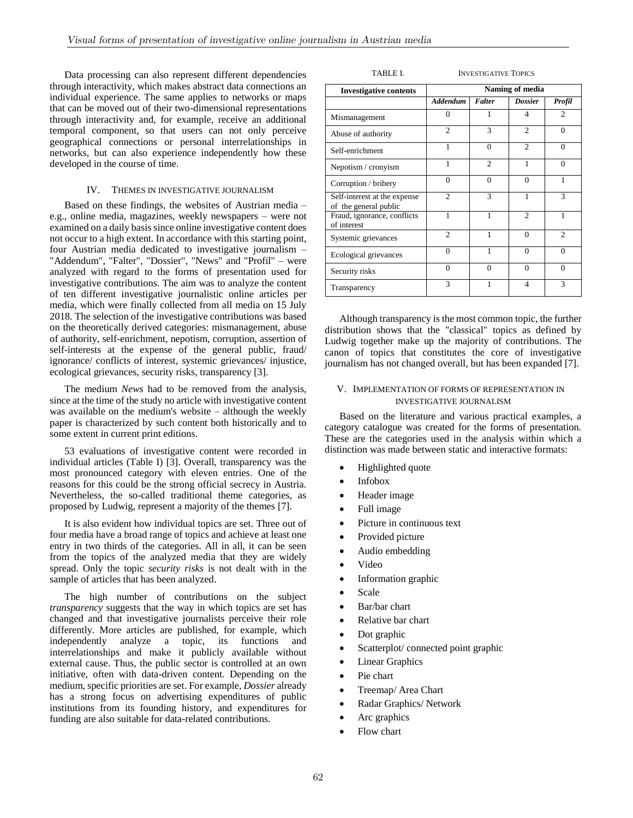Data processing can also represent different dependencies through interactivity, which makes abstract data connections an individual experience. The same applies to networks or maps that can be moved out of their two-dimensional representations through interactivity and, for example, receive an additional temporal component, so that users can not only perceive geographical connections or personal interrelationships in networks, but can also experience independently how these developed in the course of time.

## IV. THEMES IN INVESTIGATIVE JOURNALISM

Based on these findings, the websites of Austrian media – e.g., online media, magazines, weekly newspapers – were not examined on a daily basis since online investigative content does not occur to a high extent. In accordance with this starting point, four Austrian media dedicated to investigative journalism – "Addendum", "Falter", "Dossier", "News" and "Profil" – were analyzed with regard to the forms of presentation used for investigative contributions. The aim was to analyze the content of ten different investigative journalistic online articles per media, which were finally collected from all media on 15 July 2018. The selection of the investigative contributions was based on the theoretically derived categories: mismanagement, abuse of authority, self-enrichment, nepotism, corruption, assertion of self-interests at the expense of the general public, fraud/ ignorance/ conflicts of interest, systemic grievances/ injustice, ecological grievances, security risks, transparency [3].

The medium *News* had to be removed from the analysis, since at the time of the study no article with investigative content was available on the medium's website – although the weekly paper is characterized by such content both historically and to some extent in current print editions.

53 evaluations of investigative content were recorded in individual articles (Table I) [3]. Overall, transparency was the most pronounced category with eleven entries. One of the reasons for this could be the strong official secrecy in Austria. Nevertheless, the so-called traditional theme categories, as proposed by Ludwig, represent a majority of the themes [7].

It is also evident how individual topics are set. Three out of four media have a broad range of topics and achieve at least one entry in two thirds of the categories. All in all, it can be seen from the topics of the analyzed media that they are widely spread. Only the topic *security risks* is not dealt with in the sample of articles that has been analyzed.

The high number of contributions on the subject *transparency* suggests that the way in which topics are set has changed and that investigative journalists perceive their role differently. More articles are published, for example, which independently analyze a topic, its functions and interrelationships and make it publicly available without external cause. Thus, the public sector is controlled at an own initiative, often with data-driven content. Depending on the medium, specific priorities are set. For example, *Dossier* already has a strong focus on advertising expenditures of public institutions from its founding history, and expenditures for funding are also suitable for data-related contributions.

| <b>Investigative contents</b>                         | Naming of media |                |                |                |
|-------------------------------------------------------|-----------------|----------------|----------------|----------------|
|                                                       | <b>Addendum</b> | <b>Falter</b>  | <b>Dossier</b> | Profil         |
| Mismanagement                                         | $\Omega$        | 1              | $\overline{4}$ | 2              |
| Abuse of authority                                    | $\mathfrak{D}$  | 3              | $\mathfrak{D}$ | $\Omega$       |
| Self-enrichment                                       | 1               | $\Omega$       | $\mathfrak{D}$ | $\Omega$       |
| Nepotism / cronyism                                   | 1               | $\overline{c}$ | 1              | $\Omega$       |
| Corruption / bribery                                  | $\Omega$        | $\Omega$       | $\Omega$       | 1              |
| Self-interest at the expense<br>of the general public | $\overline{c}$  | 3              | 1              | 3              |
| Fraud, ignorance, conflicts<br>of interest            | 1               | 1              | $\mathfrak{D}$ | 1              |
| Systemic grievances                                   | $\overline{c}$  | 1              | $\Omega$       | $\mathfrak{D}$ |
| Ecological grievances                                 | $\Omega$        | 1              | $\Omega$       | $\Omega$       |
| Security risks                                        | $\Omega$        | $\Omega$       | $\Omega$       | $\Omega$       |
| Transparency                                          | 3               | 1              | $\overline{4}$ | 3              |

TABLE I. **INVESTIGATIVE TOPICS** 

Although transparency is the most common topic, the further distribution shows that the "classical" topics as defined by Ludwig together make up the majority of contributions. The canon of topics that constitutes the core of investigative journalism has not changed overall, but has been expanded [7].

## V. IMPLEMENTATION OF FORMS OF REPRESENTATION IN INVESTIGATIVE JOURNALISM

Based on the literature and various practical examples, a category catalogue was created for the forms of presentation. These are the categories used in the analysis within which a distinction was made between static and interactive formats:

- Highlighted quote
- Infobox
- Header image
- Full image
- Picture in continuous text
- Provided picture
- Audio embedding
- Video
- Information graphic
- Scale
- Bar/bar chart
- Relative bar chart
- Dot graphic
- Scatterplot/ connected point graphic
- Linear Graphics
- Pie chart
- Treemap/ Area Chart
- Radar Graphics/ Network
- Arc graphics
- Flow chart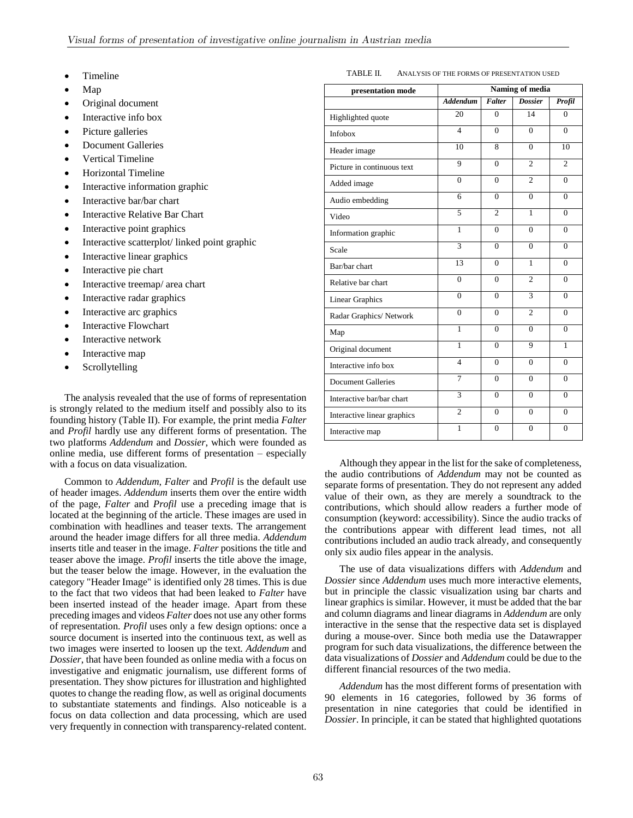- Timeline
- Map
- Original document
- Interactive info box
- Picture galleries
- Document Galleries
- Vertical Timeline
- Horizontal Timeline
- Interactive information graphic
- Interactive bar/bar chart
- Interactive Relative Bar Chart
- Interactive point graphics
- Interactive scatterplot/ linked point graphic
- Interactive linear graphics
- Interactive pie chart
- Interactive treemap/ area chart
- Interactive radar graphics
- Interactive arc graphics
- Interactive Flowchart
- Interactive network
- Interactive map
- Scrollytelling

The analysis revealed that the use of forms of representation is strongly related to the medium itself and possibly also to its founding history (Table II). For example, the print media *Falter* and *Profil* hardly use any different forms of presentation. The two platforms *Addendum* and *Dossier*, which were founded as online media, use different forms of presentation – especially with a focus on data visualization.

Common to *Addendum*, *Falter* and *Profil* is the default use of header images. *Addendum* inserts them over the entire width of the page, *Falter* and *Profil* use a preceding image that is located at the beginning of the article. These images are used in combination with headlines and teaser texts. The arrangement around the header image differs for all three media. *Addendum* inserts title and teaser in the image. *Falter* positions the title and teaser above the image. *Profil* inserts the title above the image, but the teaser below the image. However, in the evaluation the category "Header Image" is identified only 28 times. This is due to the fact that two videos that had been leaked to *Falter* have been inserted instead of the header image. Apart from these preceding images and videos *Falter* does not use any other forms of representation. *Profil* uses only a few design options: once a source document is inserted into the continuous text, as well as two images were inserted to loosen up the text. *Addendum* and *Dossier*, that have been founded as online media with a focus on investigative and enigmatic journalism, use different forms of presentation. They show pictures for illustration and highlighted quotes to change the reading flow, as well as original documents to substantiate statements and findings. Also noticeable is a focus on data collection and data processing, which are used very frequently in connection with transparency-related content.

| presentation mode           | Naming of media |                |                |                |
|-----------------------------|-----------------|----------------|----------------|----------------|
|                             | <b>Addendum</b> | Falter         | <b>Dossier</b> | Profil         |
| Highlighted quote           | 20              | $\Omega$       | 14             | $\Omega$       |
| <b>Infobox</b>              | $\overline{4}$  | $\Omega$       | $\Omega$       | $\theta$       |
| Header image                | 10              | 8              | $\Omega$       | 10             |
| Picture in continuous text  | 9               | $\Omega$       | $\overline{c}$ | $\overline{c}$ |
| Added image                 | $\theta$        | $\Omega$       | $\mathfrak{D}$ | $\Omega$       |
| Audio embedding             | 6               | $\Omega$       | $\theta$       | $\theta$       |
| Video                       | 5               | $\overline{c}$ | 1              | $\Omega$       |
| Information graphic         | 1               | $\Omega$       | $\theta$       | $\theta$       |
| Scale                       | 3               | $\Omega$       | $\Omega$       | $\Omega$       |
| Bar/bar chart               | 13              | $\Omega$       | $\mathbf{1}$   | $\theta$       |
| Relative bar chart          | $\Omega$        | $\Omega$       | $\overline{c}$ | $\Omega$       |
| Linear Graphics             | $\theta$        | $\Omega$       | 3              | $\theta$       |
| Radar Graphics/Network      | $\theta$        | $\Omega$       | $\overline{c}$ | $\Omega$       |
| Map                         | $\mathbf{1}$    | $\Omega$       | $\Omega$       | $\theta$       |
| Original document           | 1               | $\Omega$       | 9              | 1              |
| Interactive info box        | 4               | $\Omega$       | $\theta$       | $\theta$       |
| <b>Document Galleries</b>   | 7               | $\Omega$       | $\Omega$       | $\theta$       |
| Interactive bar/bar chart   | 3               | $\Omega$       | $\theta$       | $\theta$       |
| Interactive linear graphics | $\overline{2}$  | $\Omega$       | $\theta$       | $\Omega$       |
| Interactive map             | $\mathbf{1}$    | $\theta$       | $\theta$       | $\theta$       |

Although they appear in the list for the sake of completeness, the audio contributions of *Addendum* may not be counted as separate forms of presentation. They do not represent any added value of their own, as they are merely a soundtrack to the contributions, which should allow readers a further mode of consumption (keyword: accessibility). Since the audio tracks of the contributions appear with different lead times, not all contributions included an audio track already, and consequently only six audio files appear in the analysis.

The use of data visualizations differs with *Addendum* and *Dossier* since *Addendum* uses much more interactive elements, but in principle the classic visualization using bar charts and linear graphics is similar. However, it must be added that the bar and column diagrams and linear diagrams in *Addendum* are only interactive in the sense that the respective data set is displayed during a mouse-over. Since both media use the Datawrapper program for such data visualizations, the difference between the data visualizations of *Dossier* and *Addendum* could be due to the different financial resources of the two media.

*Addendum* has the most different forms of presentation with 90 elements in 16 categories, followed by 36 forms of presentation in nine categories that could be identified in *Dossier*. In principle, it can be stated that highlighted quotations

#### TABLE II. ANALYSIS OF THE FORMS OF PRESENTATION USED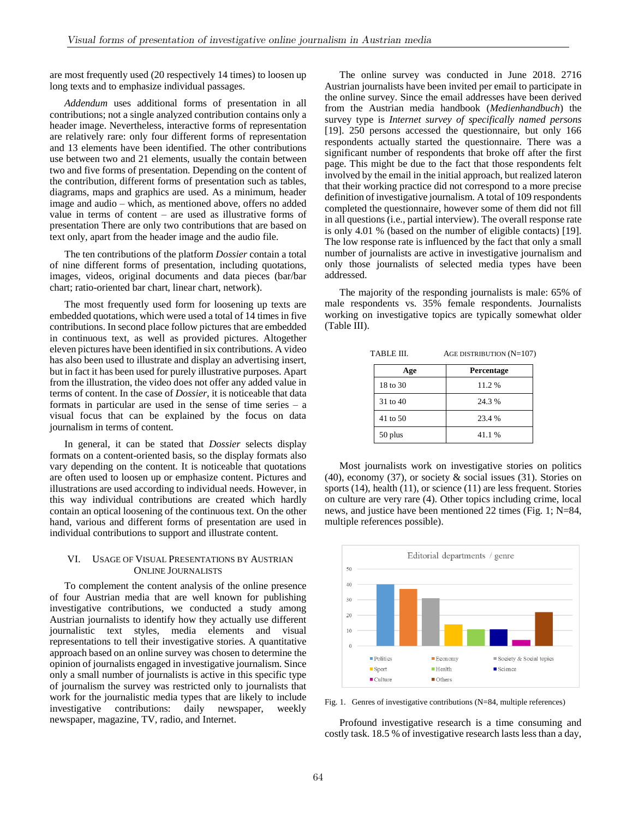are most frequently used (20 respectively 14 times) to loosen up long texts and to emphasize individual passages.

*Addendum* uses additional forms of presentation in all contributions; not a single analyzed contribution contains only a header image. Nevertheless, interactive forms of representation are relatively rare: only four different forms of representation and 13 elements have been identified. The other contributions use between two and 21 elements, usually the contain between two and five forms of presentation. Depending on the content of the contribution, different forms of presentation such as tables, diagrams, maps and graphics are used. As a minimum, header image and audio – which, as mentioned above, offers no added value in terms of content – are used as illustrative forms of presentation There are only two contributions that are based on text only, apart from the header image and the audio file.

The ten contributions of the platform *Dossier* contain a total of nine different forms of presentation, including quotations, images, videos, original documents and data pieces (bar/bar chart; ratio-oriented bar chart, linear chart, network).

The most frequently used form for loosening up texts are embedded quotations, which were used a total of 14 times in five contributions. In second place follow pictures that are embedded in continuous text, as well as provided pictures. Altogether eleven pictures have been identified in six contributions. A video has also been used to illustrate and display an advertising insert, but in fact it has been used for purely illustrative purposes. Apart from the illustration, the video does not offer any added value in terms of content. In the case of *Dossier*, it is noticeable that data formats in particular are used in the sense of time series – a visual focus that can be explained by the focus on data journalism in terms of content.

In general, it can be stated that *Dossier* selects display formats on a content-oriented basis, so the display formats also vary depending on the content. It is noticeable that quotations are often used to loosen up or emphasize content. Pictures and illustrations are used according to individual needs. However, in this way individual contributions are created which hardly contain an optical loosening of the continuous text. On the other hand, various and different forms of presentation are used in individual contributions to support and illustrate content.

# VI. USAGE OF VISUAL PRESENTATIONS BY AUSTRIAN ONLINE JOURNALISTS

To complement the content analysis of the online presence of four Austrian media that are well known for publishing investigative contributions, we conducted a study among Austrian journalists to identify how they actually use different journalistic text styles, media elements and visual representations to tell their investigative stories. A quantitative approach based on an online survey was chosen to determine the opinion of journalists engaged in investigative journalism. Since only a small number of journalists is active in this specific type of journalism the survey was restricted only to journalists that work for the journalistic media types that are likely to include investigative contributions: daily newspaper, weekly newspaper, magazine, TV, radio, and Internet.

The online survey was conducted in June 2018. 2716 Austrian journalists have been invited per email to participate in the online survey. Since the email addresses have been derived from the Austrian media handbook (*Medienhandbuch*) the survey type is *Internet survey of specifically named persons* [19]. 250 persons accessed the questionnaire, but only 166 respondents actually started the questionnaire. There was a significant number of respondents that broke off after the first page. This might be due to the fact that those respondents felt involved by the email in the initial approach, but realized lateron that their working practice did not correspond to a more precise definition of investigative journalism. A total of 109 respondents completed the questionnaire, however some of them did not fill in all questions (i.e., partial interview). The overall response rate is only 4.01 % (based on the number of eligible contacts) [19]. The low response rate is influenced by the fact that only a small number of journalists are active in investigative journalism and only those journalists of selected media types have been addressed.

The majority of the responding journalists is male: 65% of male respondents vs. 35% female respondents. Journalists working on investigative topics are typically somewhat older (Table III).

TABLE III. AGE DISTRIBUTION (N=107)

|              | $1.000$ b $1.000$ $(1.000)$ |  |  |
|--------------|-----------------------------|--|--|
| Age          | Percentage                  |  |  |
| 18 to 30     | 11.2%                       |  |  |
| $31$ to $40$ | 24.3 %                      |  |  |
| 41 to 50     | 23.4 %                      |  |  |
| 50 plus      | 41.1%                       |  |  |

Most journalists work on investigative stories on politics (40), economy (37), or society  $\&$  social issues (31). Stories on sports (14), health (11), or science (11) are less frequent. Stories on culture are very rare (4). Other topics including crime, local news, and justice have been mentioned 22 times (Fig. 1; N=84, multiple references possible).



Fig. 1. Genres of investigative contributions (N=84, multiple references)

Profound investigative research is a time consuming and costly task. 18.5 % of investigative research lasts less than a day,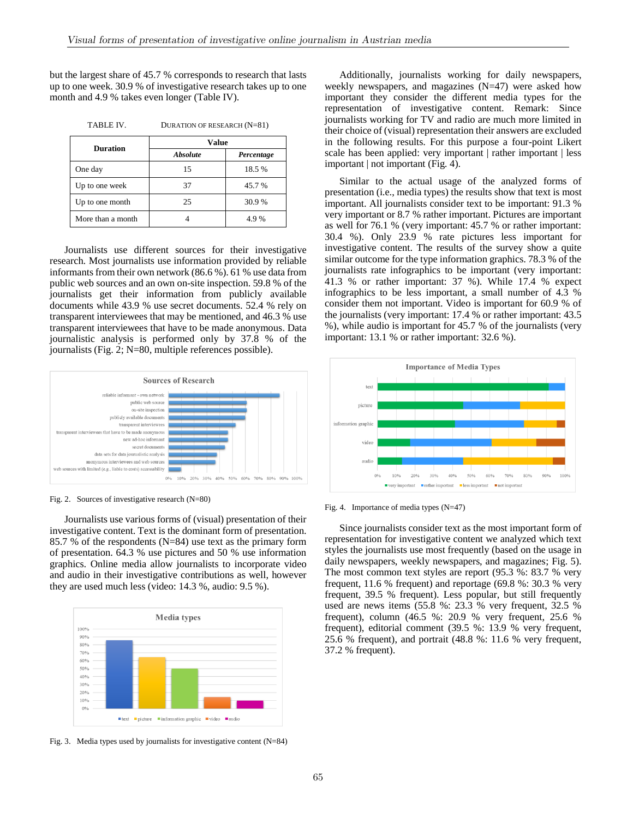but the largest share of 45.7 % corresponds to research that lasts up to one week. 30.9 % of investigative research takes up to one month and 4.9 % takes even longer (Table IV).

| <b>Duration</b>   | Value           |            |  |
|-------------------|-----------------|------------|--|
|                   | <b>Absolute</b> | Percentage |  |
| One day           | 15              | 18.5%      |  |
| Up to one week    | 37              | 45.7 %     |  |
| Up to one month   | 25              | 30.9%      |  |
| More than a month |                 | 4.9%       |  |

TABLE IV. DURATION OF RESEARCH (N=81)

Journalists use different sources for their investigative research. Most journalists use information provided by reliable informants from their own network (86.6 %). 61 % use data from public web sources and an own on-site inspection. 59.8 % of the journalists get their information from publicly available documents while 43.9 % use secret documents. 52.4 % rely on transparent interviewees that may be mentioned, and 46.3 % use transparent interviewees that have to be made anonymous. Data journalistic analysis is performed only by 37.8 % of the journalists (Fig. 2; N=80, multiple references possible).



Fig. 2. Sources of investigative research (N=80)

Journalists use various forms of (visual) presentation of their investigative content. Text is the dominant form of presentation. 85.7 % of the respondents (N=84) use text as the primary form of presentation. 64.3 % use pictures and 50 % use information graphics. Online media allow journalists to incorporate video and audio in their investigative contributions as well, however they are used much less (video: 14.3 %, audio: 9.5 %).



Fig. 3. Media types used by journalists for investigative content  $(N=84)$ 

Additionally, journalists working for daily newspapers, weekly newspapers, and magazines (N=47) were asked how important they consider the different media types for the representation of investigative content. Remark: Since journalists working for TV and radio are much more limited in their choice of (visual) representation their answers are excluded in the following results. For this purpose a four-point Likert scale has been applied: very important | rather important | less important | not important (Fig. 4).

Similar to the actual usage of the analyzed forms of presentation (i.e., media types) the results show that text is most important. All journalists consider text to be important: 91.3 % very important or 8.7 % rather important. Pictures are important as well for 76.1 % (very important: 45.7 % or rather important: 30.4 %). Only 23.9 % rate pictures less important for investigative content. The results of the survey show a quite similar outcome for the type information graphics. 78.3 % of the journalists rate infographics to be important (very important: 41.3 % or rather important: 37 %). While 17.4 % expect infographics to be less important, a small number of 4.3 % consider them not important. Video is important for 60.9 % of the journalists (very important: 17.4 % or rather important: 43.5 %), while audio is important for 45.7 % of the journalists (very important: 13.1 % or rather important: 32.6 %).



Fig. 4. Importance of media types (N=47)

Since journalists consider text as the most important form of representation for investigative content we analyzed which text styles the journalists use most frequently (based on the usage in daily newspapers, weekly newspapers, and magazines; Fig. 5). The most common text styles are report (95.3 %: 83.7 % very frequent, 11.6 % frequent) and reportage (69.8 %: 30.3 % very frequent, 39.5 % frequent). Less popular, but still frequently used are news items (55.8 %: 23.3 % very frequent,  $32.5$  % frequent), column (46.5 %: 20.9 % very frequent, 25.6 % frequent), editorial comment (39.5 %: 13.9 % very frequent, 25.6 % frequent), and portrait (48.8 %: 11.6 % very frequent, 37.2 % frequent).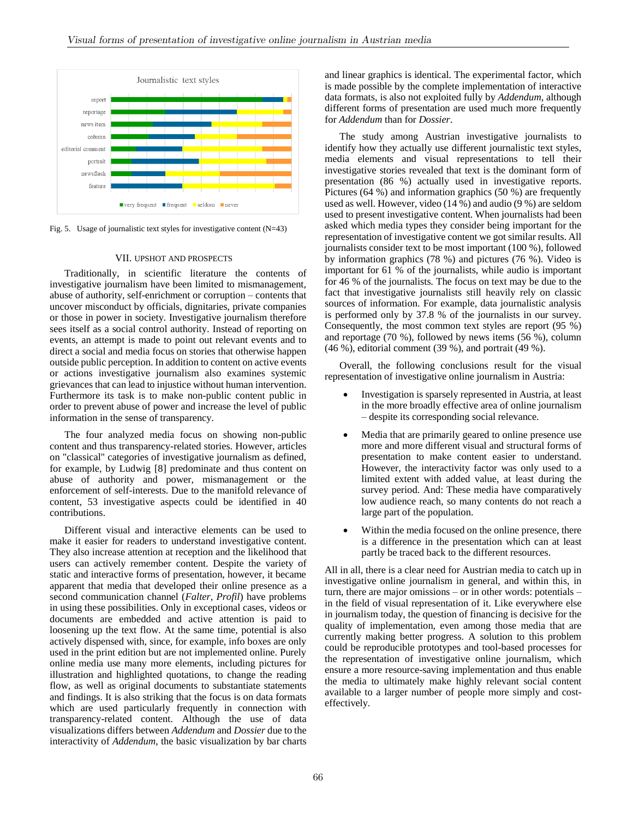

Fig. 5. Usage of journalistic text styles for investigative content  $(N=43)$ 

### VII. UPSHOT AND PROSPECTS

Traditionally, in scientific literature the contents of investigative journalism have been limited to mismanagement, abuse of authority, self-enrichment or corruption – contents that uncover misconduct by officials, dignitaries, private companies or those in power in society. Investigative journalism therefore sees itself as a social control authority. Instead of reporting on events, an attempt is made to point out relevant events and to direct a social and media focus on stories that otherwise happen outside public perception. In addition to content on active events or actions investigative journalism also examines systemic grievances that can lead to injustice without human intervention. Furthermore its task is to make non-public content public in order to prevent abuse of power and increase the level of public information in the sense of transparency.

The four analyzed media focus on showing non-public content and thus transparency-related stories. However, articles on "classical" categories of investigative journalism as defined, for example, by Ludwig [8] predominate and thus content on abuse of authority and power, mismanagement or the enforcement of self-interests. Due to the manifold relevance of content, 53 investigative aspects could be identified in 40 contributions.

Different visual and interactive elements can be used to make it easier for readers to understand investigative content. They also increase attention at reception and the likelihood that users can actively remember content. Despite the variety of static and interactive forms of presentation, however, it became apparent that media that developed their online presence as a second communication channel (*Falter*, *Profil*) have problems in using these possibilities. Only in exceptional cases, videos or documents are embedded and active attention is paid to loosening up the text flow. At the same time, potential is also actively dispensed with, since, for example, info boxes are only used in the print edition but are not implemented online. Purely online media use many more elements, including pictures for illustration and highlighted quotations, to change the reading flow, as well as original documents to substantiate statements and findings. It is also striking that the focus is on data formats which are used particularly frequently in connection with transparency-related content. Although the use of data visualizations differs between *Addendum* and *Dossier* due to the interactivity of *Addendum*, the basic visualization by bar charts and linear graphics is identical. The experimental factor, which is made possible by the complete implementation of interactive data formats, is also not exploited fully by *Addendum*, although different forms of presentation are used much more frequently for *Addendum* than for *Dossier*.

The study among Austrian investigative journalists to identify how they actually use different journalistic text styles, media elements and visual representations to tell their investigative stories revealed that text is the dominant form of presentation (86 %) actually used in investigative reports. Pictures (64 %) and information graphics (50 %) are frequently used as well. However, video (14 %) and audio (9 %) are seldom used to present investigative content. When journalists had been asked which media types they consider being important for the representation of investigative content we got similar results. All journalists consider text to be most important (100 %), followed by information graphics (78 %) and pictures (76 %). Video is important for 61 % of the journalists, while audio is important for 46 % of the journalists. The focus on text may be due to the fact that investigative journalists still heavily rely on classic sources of information. For example, data journalistic analysis is performed only by 37.8 % of the journalists in our survey. Consequently, the most common text styles are report (95 %) and reportage (70 %), followed by news items (56 %), column  $(46\%)$ , editorial comment  $(39\%)$ , and portrait  $(49\%)$ .

Overall, the following conclusions result for the visual representation of investigative online journalism in Austria:

- Investigation is sparsely represented in Austria, at least in the more broadly effective area of online journalism – despite its corresponding social relevance.
- Media that are primarily geared to online presence use more and more different visual and structural forms of presentation to make content easier to understand. However, the interactivity factor was only used to a limited extent with added value, at least during the survey period. And: These media have comparatively low audience reach, so many contents do not reach a large part of the population.
- Within the media focused on the online presence, there is a difference in the presentation which can at least partly be traced back to the different resources.

All in all, there is a clear need for Austrian media to catch up in investigative online journalism in general, and within this, in turn, there are major omissions – or in other words: potentials – in the field of visual representation of it. Like everywhere else in journalism today, the question of financing is decisive for the quality of implementation, even among those media that are currently making better progress. A solution to this problem could be reproducible prototypes and tool-based processes for the representation of investigative online journalism, which ensure a more resource-saving implementation and thus enable the media to ultimately make highly relevant social content available to a larger number of people more simply and costeffectively.